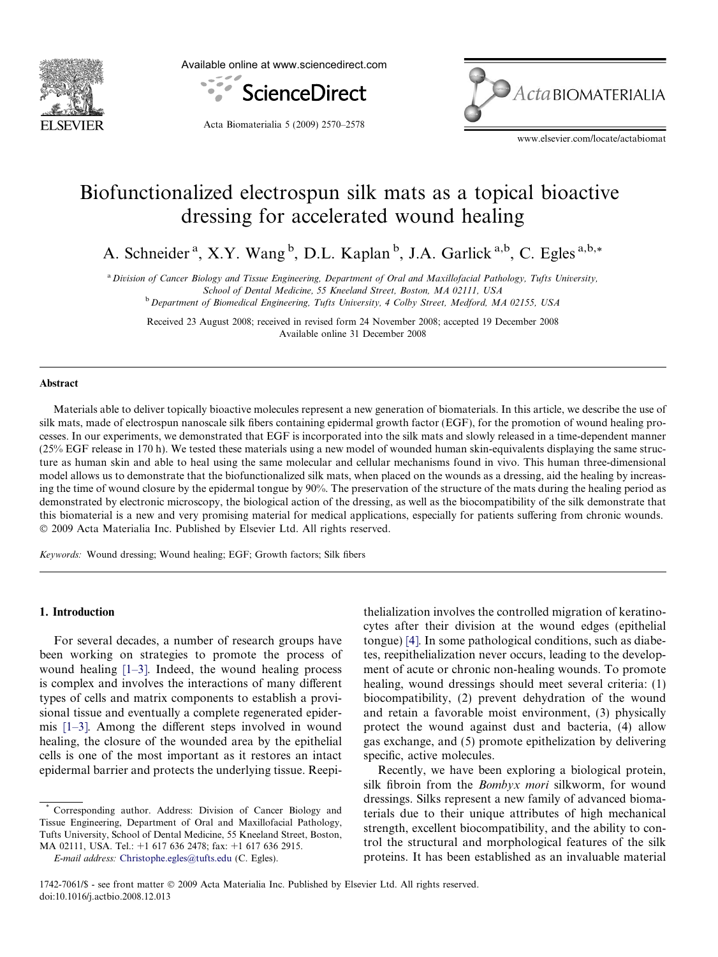

Available online at www.sciencedirect.com



Acta Biomaterialia 5 (2009) 2570–2578

**ActaBIOMATERIALIA** 

www.elsevier.com/locate/actabiomat

# Biofunctionalized electrospun silk mats as a topical bioactive dressing for accelerated wound healing

A. Schneider<sup>a</sup>, X.Y. Wang<sup>b</sup>, D.L. Kaplan<sup>b</sup>, J.A. Garlick<sup>a,b</sup>, C. Egles<sup>a,b,\*</sup>

a Division of Cancer Biology and Tissue Engineering, Department of Oral and Maxillofacial Pathology, Tufts University, School of Dental Medicine, 55 Kneeland Street, Boston, MA 02111, USA

<sup>b</sup> Department of Biomedical Engineering, Tufts University, 4 Colby Street, Medford, MA 02155, USA

Received 23 August 2008; received in revised form 24 November 2008; accepted 19 December 2008 Available online 31 December 2008

#### Abstract

Materials able to deliver topically bioactive molecules represent a new generation of biomaterials. In this article, we describe the use of silk mats, made of electrospun nanoscale silk fibers containing epidermal growth factor (EGF), for the promotion of wound healing processes. In our experiments, we demonstrated that EGF is incorporated into the silk mats and slowly released in a time-dependent manner (25% EGF release in 170 h). We tested these materials using a new model of wounded human skin-equivalents displaying the same structure as human skin and able to heal using the same molecular and cellular mechanisms found in vivo. This human three-dimensional model allows us to demonstrate that the biofunctionalized silk mats, when placed on the wounds as a dressing, aid the healing by increasing the time of wound closure by the epidermal tongue by 90%. The preservation of the structure of the mats during the healing period as demonstrated by electronic microscopy, the biological action of the dressing, as well as the biocompatibility of the silk demonstrate that this biomaterial is a new and very promising material for medical applications, especially for patients suffering from chronic wounds. - 2009 Acta Materialia Inc. Published by Elsevier Ltd. All rights reserved.

Keywords: Wound dressing; Wound healing; EGF; Growth factors; Silk fibers

## 1. Introduction

For several decades, a number of research groups have been working on strategies to promote the process of wound healing  $[1-3]$ . Indeed, the wound healing process is complex and involves the interactions of many different types of cells and matrix components to establish a provisional tissue and eventually a complete regenerated epidermis [\[1–3\].](#page-8-0) Among the different steps involved in wound healing, the closure of the wounded area by the epithelial cells is one of the most important as it restores an intact epidermal barrier and protects the underlying tissue. Reepi-

E-mail address: [Christophe.egles@tufts.edu](mailto:Christophe.egles@tufts.edu) (C. Egles).

thelialization involves the controlled migration of keratinocytes after their division at the wound edges (epithelial tongue) [\[4\]](#page-8-0). In some pathological conditions, such as diabetes, reepithelialization never occurs, leading to the development of acute or chronic non-healing wounds. To promote healing, wound dressings should meet several criteria: (1) biocompatibility, (2) prevent dehydration of the wound and retain a favorable moist environment, (3) physically protect the wound against dust and bacteria, (4) allow gas exchange, and (5) promote epithelization by delivering specific, active molecules.

Recently, we have been exploring a biological protein, silk fibroin from the *Bombyx mori* silkworm, for wound dressings. Silks represent a new family of advanced biomaterials due to their unique attributes of high mechanical strength, excellent biocompatibility, and the ability to control the structural and morphological features of the silk proteins. It has been established as an invaluable material

Corresponding author. Address: Division of Cancer Biology and Tissue Engineering, Department of Oral and Maxillofacial Pathology, Tufts University, School of Dental Medicine, 55 Kneeland Street, Boston, MA 02111, USA. Tel.: +1 617 636 2478; fax: +1 617 636 2915.

<sup>1742-7061/\$ -</sup> see front matter  $@$  2009 Acta Materialia Inc. Published by Elsevier Ltd. All rights reserved. doi:10.1016/j.actbio.2008.12.013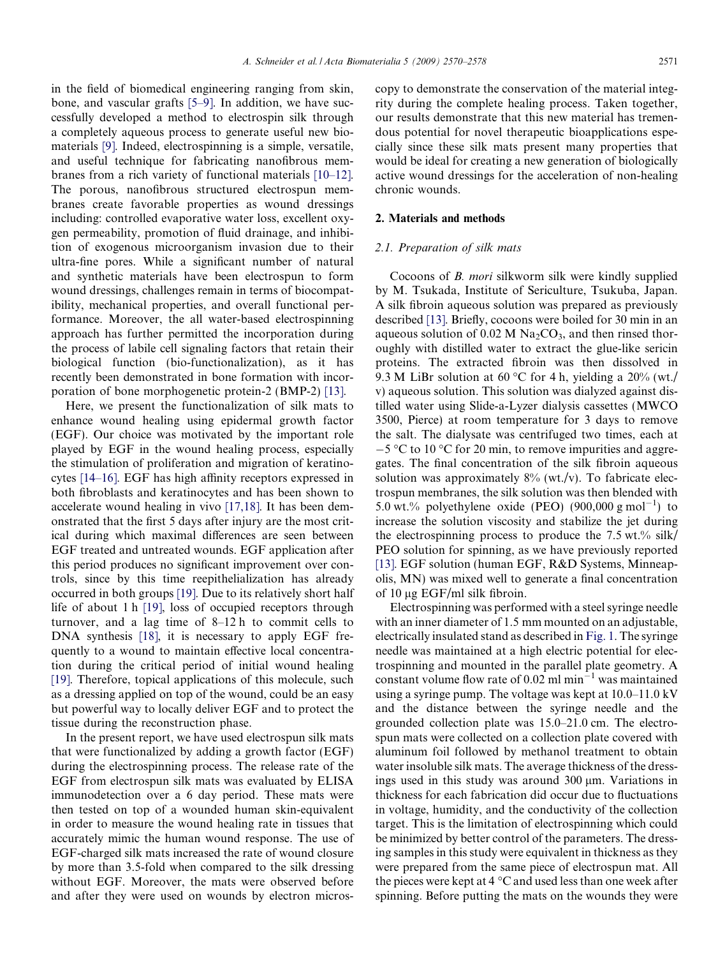in the field of biomedical engineering ranging from skin, bone, and vascular grafts [\[5–9\].](#page-8-0) In addition, we have successfully developed a method to electrospin silk through a completely aqueous process to generate useful new biomaterials [\[9\]](#page-8-0). Indeed, electrospinning is a simple, versatile, and useful technique for fabricating nanofibrous membranes from a rich variety of functional materials [\[10–12\].](#page-8-0) The porous, nanofibrous structured electrospun membranes create favorable properties as wound dressings including: controlled evaporative water loss, excellent oxygen permeability, promotion of fluid drainage, and inhibition of exogenous microorganism invasion due to their ultra-fine pores. While a significant number of natural and synthetic materials have been electrospun to form wound dressings, challenges remain in terms of biocompatibility, mechanical properties, and overall functional performance. Moreover, the all water-based electrospinning approach has further permitted the incorporation during the process of labile cell signaling factors that retain their biological function (bio-functionalization), as it has recently been demonstrated in bone formation with incorporation of bone morphogenetic protein-2 (BMP-2) [\[13\].](#page-8-0)

Here, we present the functionalization of silk mats to enhance wound healing using epidermal growth factor (EGF). Our choice was motivated by the important role played by EGF in the wound healing process, especially the stimulation of proliferation and migration of keratinocytes [\[14–16\].](#page-8-0) EGF has high affinity receptors expressed in both fibroblasts and keratinocytes and has been shown to accelerate wound healing in vivo [\[17,18\]](#page-8-0). It has been demonstrated that the first 5 days after injury are the most critical during which maximal differences are seen between EGF treated and untreated wounds. EGF application after this period produces no significant improvement over controls, since by this time reepithelialization has already occurred in both groups [\[19\]](#page-8-0). Due to its relatively short half life of about 1 h [\[19\]](#page-8-0), loss of occupied receptors through turnover, and a lag time of 8–12 h to commit cells to DNA synthesis [\[18\],](#page-8-0) it is necessary to apply EGF frequently to a wound to maintain effective local concentration during the critical period of initial wound healing [\[19\].](#page-8-0) Therefore, topical applications of this molecule, such as a dressing applied on top of the wound, could be an easy but powerful way to locally deliver EGF and to protect the tissue during the reconstruction phase.

In the present report, we have used electrospun silk mats that were functionalized by adding a growth factor (EGF) during the electrospinning process. The release rate of the EGF from electrospun silk mats was evaluated by ELISA immunodetection over a 6 day period. These mats were then tested on top of a wounded human skin-equivalent in order to measure the wound healing rate in tissues that accurately mimic the human wound response. The use of EGF-charged silk mats increased the rate of wound closure by more than 3.5-fold when compared to the silk dressing without EGF. Moreover, the mats were observed before and after they were used on wounds by electron microscopy to demonstrate the conservation of the material integrity during the complete healing process. Taken together, our results demonstrate that this new material has tremendous potential for novel therapeutic bioapplications especially since these silk mats present many properties that would be ideal for creating a new generation of biologically active wound dressings for the acceleration of non-healing chronic wounds.

## 2. Materials and methods

#### 2.1. Preparation of silk mats

Cocoons of B. mori silkworm silk were kindly supplied by M. Tsukada, Institute of Sericulture, Tsukuba, Japan. A silk fibroin aqueous solution was prepared as previously described [\[13\]](#page-8-0). Briefly, cocoons were boiled for 30 min in an aqueous solution of 0.02 M  $\text{Na}_2\text{CO}_3$ , and then rinsed thoroughly with distilled water to extract the glue-like sericin proteins. The extracted fibroin was then dissolved in 9.3 M LiBr solution at 60 °C for 4 h, yielding a  $20\%$  (wt./ v) aqueous solution. This solution was dialyzed against distilled water using Slide-a-Lyzer dialysis cassettes (MWCO 3500, Pierce) at room temperature for 3 days to remove the salt. The dialysate was centrifuged two times, each at  $-5$  °C to 10 °C for 20 min, to remove impurities and aggregates. The final concentration of the silk fibroin aqueous solution was approximately  $8\%$  (wt./v). To fabricate electrospun membranes, the silk solution was then blended with 5.0 wt.% polyethylene oxide (PEO)  $(900,000 \text{ g mol}^{-1})$  to increase the solution viscosity and stabilize the jet during the electrospinning process to produce the  $7.5 \text{ wt.} \%$  silk/ PEO solution for spinning, as we have previously reported [\[13\].](#page-8-0) EGF solution (human EGF, R&D Systems, Minneapolis, MN) was mixed well to generate a final concentration of 10  $\mu$ g EGF/ml silk fibroin.

Electrospinning was performed with a steel syringe needle with an inner diameter of 1.5 mm mounted on an adjustable, electrically insulated stand as described in [Fig. 1.](#page-2-0) The syringe needle was maintained at a high electric potential for electrospinning and mounted in the parallel plate geometry. A constant volume flow rate of  $0.02$  ml min<sup>-1</sup> was maintained using a syringe pump. The voltage was kept at 10.0–11.0 kV and the distance between the syringe needle and the grounded collection plate was 15.0–21.0 cm. The electrospun mats were collected on a collection plate covered with aluminum foil followed by methanol treatment to obtain water insoluble silk mats. The average thickness of the dressings used in this study was around  $300 \mu m$ . Variations in thickness for each fabrication did occur due to fluctuations in voltage, humidity, and the conductivity of the collection target. This is the limitation of electrospinning which could be minimized by better control of the parameters. The dressing samples in this study were equivalent in thickness as they were prepared from the same piece of electrospun mat. All the pieces were kept at 4  $\rm{^{\circ}C}$  and used less than one week after spinning. Before putting the mats on the wounds they were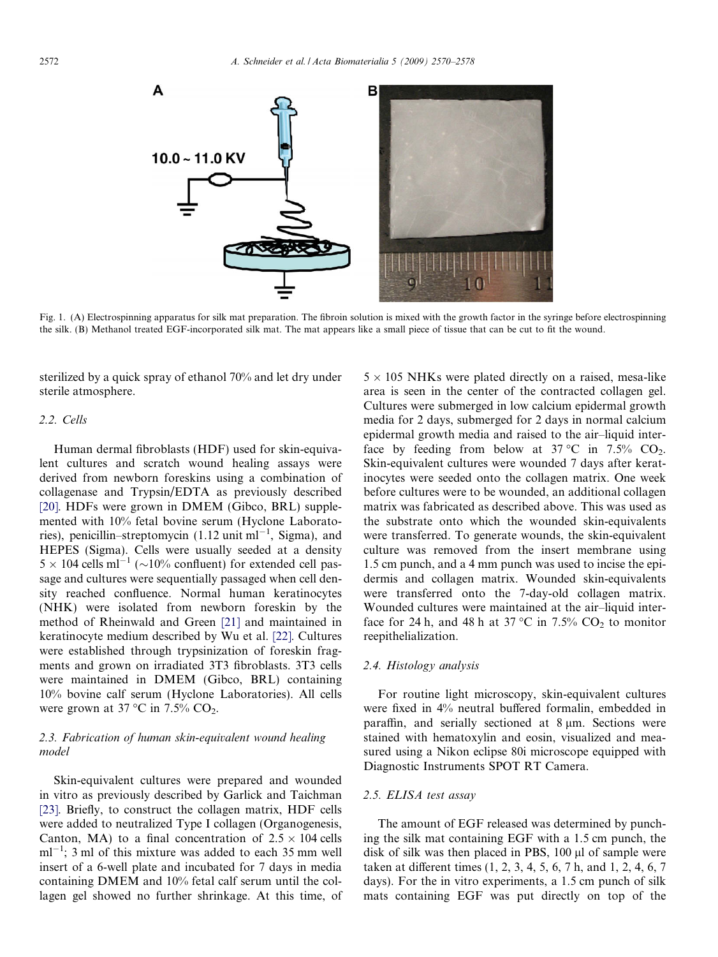<span id="page-2-0"></span>

Fig. 1. (A) Electrospinning apparatus for silk mat preparation. The fibroin solution is mixed with the growth factor in the syringe before electrospinning the silk. (B) Methanol treated EGF-incorporated silk mat. The mat appears like a small piece of tissue that can be cut to fit the wound.

sterilized by a quick spray of ethanol 70% and let dry under sterile atmosphere.

# 2.2. Cells

Human dermal fibroblasts (HDF) used for skin-equivalent cultures and scratch wound healing assays were derived from newborn foreskins using a combination of collagenase and Trypsin/EDTA as previously described [\[20\]](#page-8-0). HDFs were grown in DMEM (Gibco, BRL) supplemented with 10% fetal bovine serum (Hyclone Laboratories), penicillin–streptomycin  $(1.12 \text{ unit ml}^{-1}$ , Sigma), and HEPES (Sigma). Cells were usually seeded at a density  $5 \times 104$  cells ml<sup>-1</sup> ( $\sim$ 10% confluent) for extended cell passage and cultures were sequentially passaged when cell density reached confluence. Normal human keratinocytes (NHK) were isolated from newborn foreskin by the method of Rheinwald and Green [\[21\]](#page-8-0) and maintained in keratinocyte medium described by Wu et al. [\[22\].](#page-8-0) Cultures were established through trypsinization of foreskin fragments and grown on irradiated 3T3 fibroblasts. 3T3 cells were maintained in DMEM (Gibco, BRL) containing 10% bovine calf serum (Hyclone Laboratories). All cells were grown at 37 °C in 7.5%  $CO<sub>2</sub>$ .

# 2.3. Fabrication of human skin-equivalent wound healing model

Skin-equivalent cultures were prepared and wounded in vitro as previously described by Garlick and Taichman [\[23\]](#page-8-0). Briefly, to construct the collagen matrix, HDF cells were added to neutralized Type I collagen (Organogenesis, Canton, MA) to a final concentration of  $2.5 \times 104$  cells  $ml^{-1}$ ; 3 ml of this mixture was added to each 35 mm well insert of a 6-well plate and incubated for 7 days in media containing DMEM and 10% fetal calf serum until the collagen gel showed no further shrinkage. At this time, of  $5 \times 105$  NHKs were plated directly on a raised, mesa-like area is seen in the center of the contracted collagen gel. Cultures were submerged in low calcium epidermal growth media for 2 days, submerged for 2 days in normal calcium epidermal growth media and raised to the air–liquid interface by feeding from below at  $37^{\circ}$ C in  $7.5\%$  CO<sub>2</sub>. Skin-equivalent cultures were wounded 7 days after keratinocytes were seeded onto the collagen matrix. One week before cultures were to be wounded, an additional collagen matrix was fabricated as described above. This was used as the substrate onto which the wounded skin-equivalents were transferred. To generate wounds, the skin-equivalent culture was removed from the insert membrane using 1.5 cm punch, and a 4 mm punch was used to incise the epidermis and collagen matrix. Wounded skin-equivalents were transferred onto the 7-day-old collagen matrix. Wounded cultures were maintained at the air–liquid interface for 24 h, and 48 h at 37 °C in 7.5%  $CO<sub>2</sub>$  to monitor reepithelialization.

# 2.4. Histology analysis

For routine light microscopy, skin-equivalent cultures were fixed in 4% neutral buffered formalin, embedded in paraffin, and serially sectioned at  $8 \mu m$ . Sections were stained with hematoxylin and eosin, visualized and measured using a Nikon eclipse 80i microscope equipped with Diagnostic Instruments SPOT RT Camera.

# 2.5. ELISA test assay

The amount of EGF released was determined by punching the silk mat containing EGF with a 1.5 cm punch, the disk of silk was then placed in PBS,  $100 \mu l$  of sample were taken at different times (1, 2, 3, 4, 5, 6, 7 h, and 1, 2, 4, 6, 7 days). For the in vitro experiments, a 1.5 cm punch of silk mats containing EGF was put directly on top of the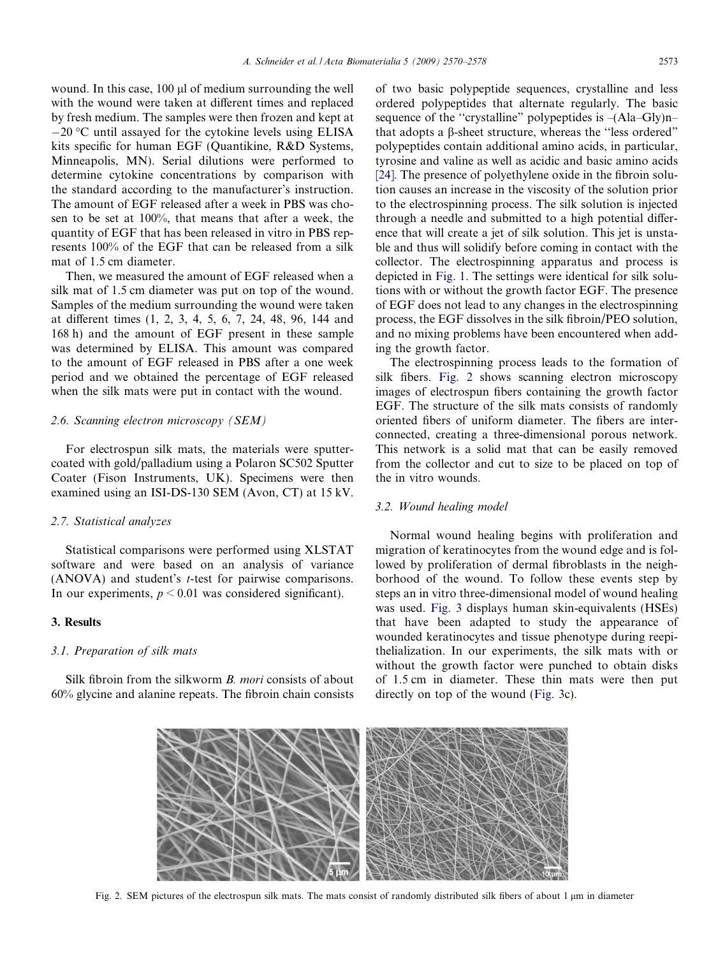wound. In this case,  $100 \mu$  of medium surrounding the well with the wound were taken at different times and replaced by fresh medium. The samples were then frozen and kept at  $-20$  °C until assayed for the cytokine levels using ELISA kits specific for human EGF (Quantikine, R&D Systems, Minneapolis, MN). Serial dilutions were performed to determine cytokine concentrations by comparison with the standard according to the manufacturer's instruction. The amount of EGF released after a week in PBS was chosen to be set at 100%, that means that after a week, the quantity of EGF that has been released in vitro in PBS represents 100% of the EGF that can be released from a silk mat of 1.5 cm diameter.

Then, we measured the amount of EGF released when a silk mat of 1.5 cm diameter was put on top of the wound. Samples of the medium surrounding the wound were taken at different times (1, 2, 3, 4, 5, 6, 7, 24, 48, 96, 144 and 168 h) and the amount of EGF present in these sample was determined by ELISA. This amount was compared to the amount of EGF released in PBS after a one week period and we obtained the percentage of EGF released when the silk mats were put in contact with the wound.

## 2.6. Scanning electron microscopy (SEM)

For electrospun silk mats, the materials were sputtercoated with gold/palladium using a Polaron SC502 Sputter Coater (Fison Instruments, UK). Specimens were then examined using an ISI-DS-130 SEM (Avon, CT) at 15 kV.

## 2.7. Statistical analyzes

Statistical comparisons were performed using XLSTAT software and were based on an analysis of variance (ANOVA) and student's t-test for pairwise comparisons. In our experiments,  $p \le 0.01$  was considered significant).

#### 3. Results

#### 3.1. Preparation of silk mats

Silk fibroin from the silkworm *B. mori* consists of about 60% glycine and alanine repeats. The fibroin chain consists of two basic polypeptide sequences, crystalline and less ordered polypeptides that alternate regularly. The basic sequence of the "crystalline" polypeptides is  $-(Ala-Gly)n$ that adopts a  $\beta$ -sheet structure, whereas the "less ordered" polypeptides contain additional amino acids, in particular, tyrosine and valine as well as acidic and basic amino acids [\[24\].](#page-8-0) The presence of polyethylene oxide in the fibroin solution causes an increase in the viscosity of the solution prior to the electrospinning process. The silk solution is injected through a needle and submitted to a high potential difference that will create a jet of silk solution. This jet is unstable and thus will solidify before coming in contact with the collector. The electrospinning apparatus and process is depicted in [Fig. 1](#page-2-0). The settings were identical for silk solutions with or without the growth factor EGF. The presence of EGF does not lead to any changes in the electrospinning process, the EGF dissolves in the silk fibroin/PEO solution, and no mixing problems have been encountered when adding the growth factor.

The electrospinning process leads to the formation of silk fibers. Fig. 2 shows scanning electron microscopy images of electrospun fibers containing the growth factor EGF. The structure of the silk mats consists of randomly oriented fibers of uniform diameter. The fibers are interconnected, creating a three-dimensional porous network. This network is a solid mat that can be easily removed from the collector and cut to size to be placed on top of the in vitro wounds.

## 3.2. Wound healing model

Normal wound healing begins with proliferation and migration of keratinocytes from the wound edge and is followed by proliferation of dermal fibroblasts in the neighborhood of the wound. To follow these events step by steps an in vitro three-dimensional model of wound healing was used. [Fig. 3](#page-4-0) displays human skin-equivalents (HSEs) that have been adapted to study the appearance of wounded keratinocytes and tissue phenotype during reepithelialization. In our experiments, the silk mats with or without the growth factor were punched to obtain disks of 1.5 cm in diameter. These thin mats were then put directly on top of the wound [\(Fig. 3c](#page-4-0)).



Fig. 2. SEM pictures of the electrospun silk mats. The mats consist of randomly distributed silk fibers of about 1  $\mu$ m in diameter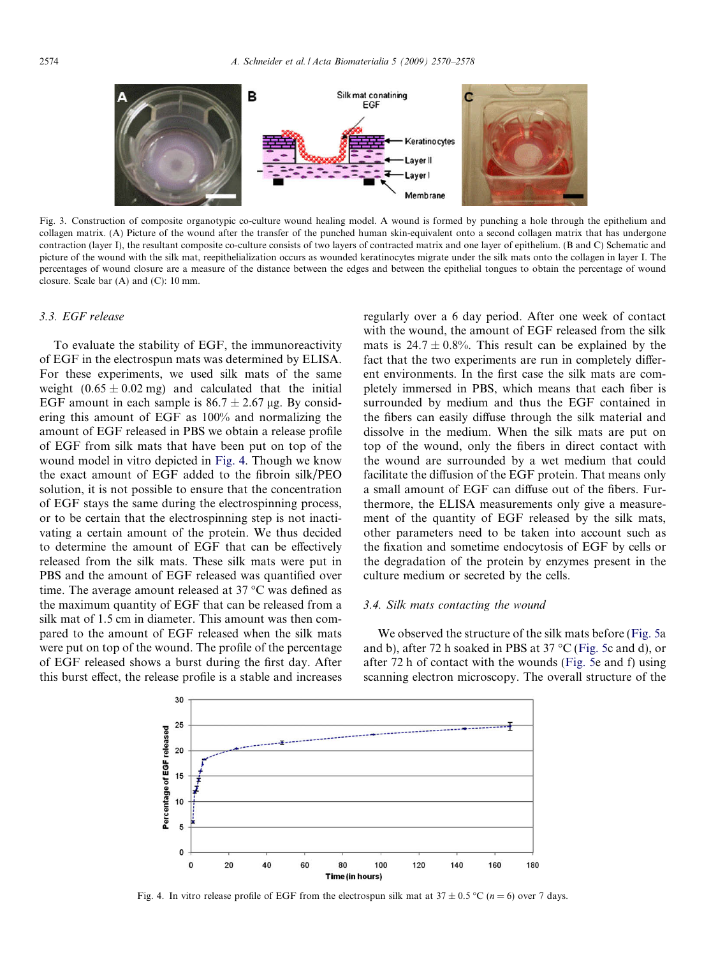<span id="page-4-0"></span>

Fig. 3. Construction of composite organotypic co-culture wound healing model. A wound is formed by punching a hole through the epithelium and collagen matrix. (A) Picture of the wound after the transfer of the punched human skin-equivalent onto a second collagen matrix that has undergone contraction (layer I), the resultant composite co-culture consists of two layers of contracted matrix and one layer of epithelium. (B and C) Schematic and picture of the wound with the silk mat, reepithelialization occurs as wounded keratinocytes migrate under the silk mats onto the collagen in layer I. The percentages of wound closure are a measure of the distance between the edges and between the epithelial tongues to obtain the percentage of wound closure. Scale bar (A) and (C): 10 mm.

#### 3.3. EGF release

To evaluate the stability of EGF, the immunoreactivity of EGF in the electrospun mats was determined by ELISA. For these experiments, we used silk mats of the same weight  $(0.65 \pm 0.02 \text{ mg})$  and calculated that the initial EGF amount in each sample is  $86.7 \pm 2.67$  µg. By considering this amount of EGF as 100% and normalizing the amount of EGF released in PBS we obtain a release profile of EGF from silk mats that have been put on top of the wound model in vitro depicted in Fig. 4. Though we know the exact amount of EGF added to the fibroin silk/PEO solution, it is not possible to ensure that the concentration of EGF stays the same during the electrospinning process, or to be certain that the electrospinning step is not inactivating a certain amount of the protein. We thus decided to determine the amount of EGF that can be effectively released from the silk mats. These silk mats were put in PBS and the amount of EGF released was quantified over time. The average amount released at 37 °C was defined as the maximum quantity of EGF that can be released from a silk mat of 1.5 cm in diameter. This amount was then compared to the amount of EGF released when the silk mats were put on top of the wound. The profile of the percentage of EGF released shows a burst during the first day. After this burst effect, the release profile is a stable and increases

regularly over a 6 day period. After one week of contact with the wound, the amount of EGF released from the silk mats is  $24.7 \pm 0.8$ %. This result can be explained by the fact that the two experiments are run in completely different environments. In the first case the silk mats are completely immersed in PBS, which means that each fiber is surrounded by medium and thus the EGF contained in the fibers can easily diffuse through the silk material and dissolve in the medium. When the silk mats are put on top of the wound, only the fibers in direct contact with the wound are surrounded by a wet medium that could facilitate the diffusion of the EGF protein. That means only a small amount of EGF can diffuse out of the fibers. Furthermore, the ELISA measurements only give a measurement of the quantity of EGF released by the silk mats, other parameters need to be taken into account such as the fixation and sometime endocytosis of EGF by cells or the degradation of the protein by enzymes present in the culture medium or secreted by the cells.

#### 3.4. Silk mats contacting the wound

We observed the structure of the silk mats before ([Fig. 5a](#page-5-0) and b), after 72 h soaked in PBS at 37 °C ([Fig. 5](#page-5-0)c and d), or after 72 h of contact with the wounds [\(Fig. 5](#page-5-0)e and f) using scanning electron microscopy. The overall structure of the



Fig. 4. In vitro release profile of EGF from the electrospun silk mat at  $37 \pm 0.5$  °C ( $n = 6$ ) over 7 days.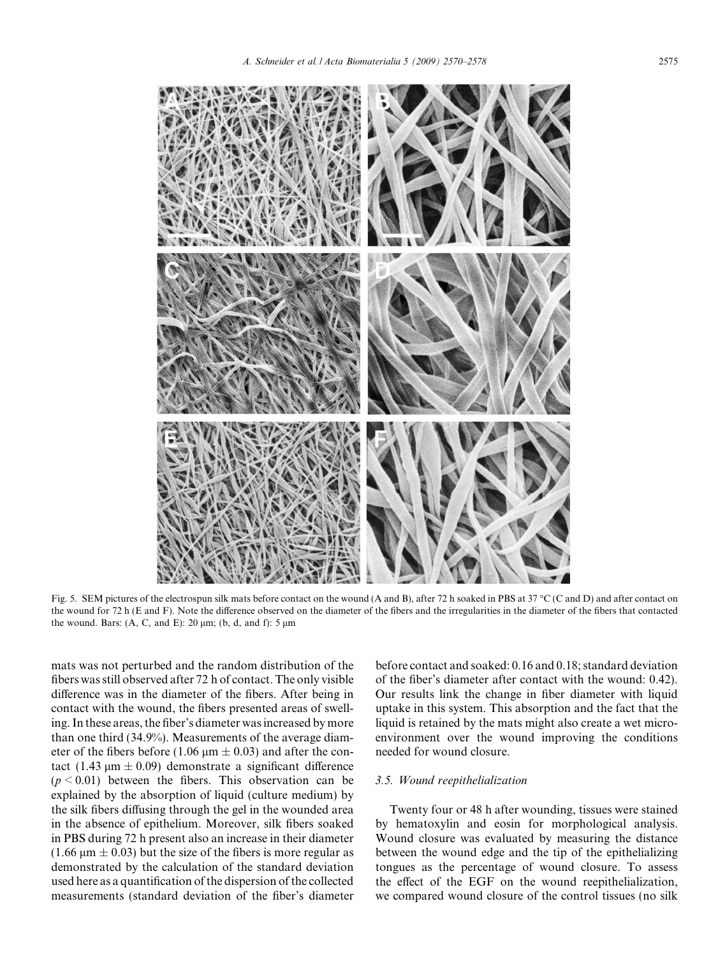<span id="page-5-0"></span>

Fig. 5. SEM pictures of the electrospun silk mats before contact on the wound (A and B), after 72 h soaked in PBS at 37 °C (C and D) and after contact on the wound for 72 h (E and F). Note the difference observed on the diameter of the fibers and the irregularities in the diameter of the fibers that contacted the wound. Bars:  $(A, C, and E)$ :  $20 \mu m$ ;  $(b, d, and f)$ :  $5 \mu m$ 

mats was not perturbed and the random distribution of the fibers was still observed after 72 h of contact. The only visible difference was in the diameter of the fibers. After being in contact with the wound, the fibers presented areas of swelling. In these areas, the fiber's diameter was increased by more than one third (34.9%). Measurements of the average diameter of the fibers before (1.06  $\mu$ m  $\pm$  0.03) and after the contact (1.43  $\mu$ m  $\pm$  0.09) demonstrate a significant difference  $(p < 0.01)$  between the fibers. This observation can be explained by the absorption of liquid (culture medium) by the silk fibers diffusing through the gel in the wounded area in the absence of epithelium. Moreover, silk fibers soaked in PBS during 72 h present also an increase in their diameter  $(1.66 \mu m \pm 0.03)$  but the size of the fibers is more regular as demonstrated by the calculation of the standard deviation used here as a quantification of the dispersion of the collected measurements (standard deviation of the fiber's diameter

before contact and soaked: 0.16 and 0.18; standard deviation of the fiber's diameter after contact with the wound: 0.42). Our results link the change in fiber diameter with liquid uptake in this system. This absorption and the fact that the liquid is retained by the mats might also create a wet microenvironment over the wound improving the conditions needed for wound closure.

# 3.5. Wound reepithelialization

Twenty four or 48 h after wounding, tissues were stained by hematoxylin and eosin for morphological analysis. Wound closure was evaluated by measuring the distance between the wound edge and the tip of the epithelializing tongues as the percentage of wound closure. To assess the effect of the EGF on the wound reepithelialization, we compared wound closure of the control tissues (no silk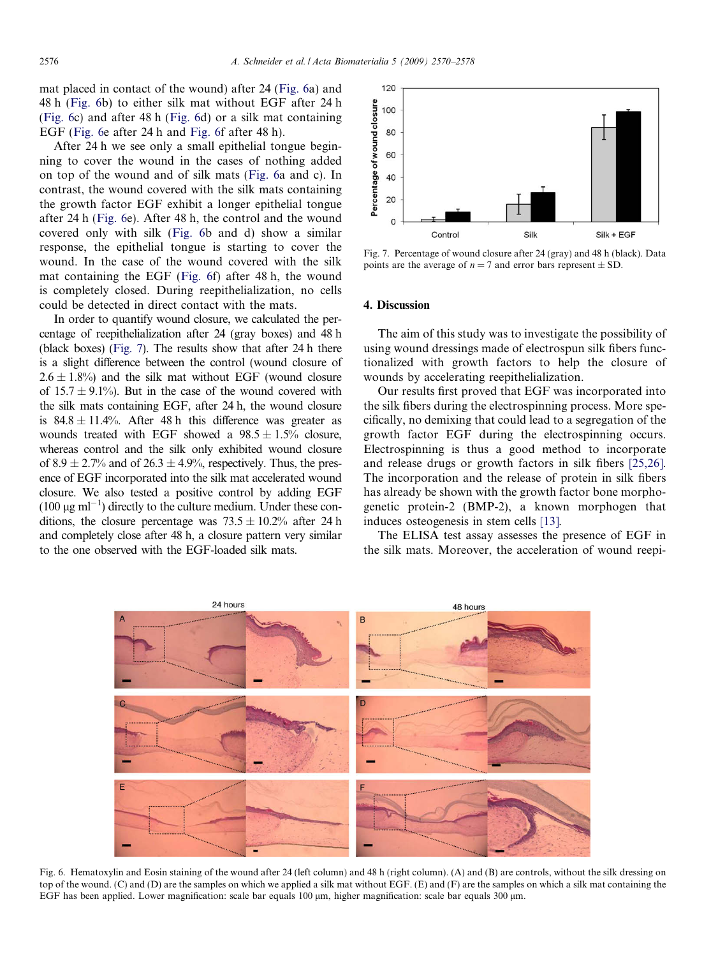mat placed in contact of the wound) after 24 (Fig. 6a) and 48 h (Fig. 6b) to either silk mat without EGF after 24 h (Fig. 6c) and after 48 h (Fig. 6d) or a silk mat containing EGF (Fig. 6e after 24 h and Fig. 6f after 48 h).

After 24 h we see only a small epithelial tongue beginning to cover the wound in the cases of nothing added on top of the wound and of silk mats (Fig. 6a and c). In contrast, the wound covered with the silk mats containing the growth factor EGF exhibit a longer epithelial tongue after 24 h (Fig. 6e). After 48 h, the control and the wound covered only with silk (Fig. 6b and d) show a similar response, the epithelial tongue is starting to cover the wound. In the case of the wound covered with the silk mat containing the EGF (Fig. 6f) after 48 h, the wound is completely closed. During reepithelialization, no cells could be detected in direct contact with the mats.

In order to quantify wound closure, we calculated the percentage of reepithelialization after 24 (gray boxes) and 48 h (black boxes) (Fig. 7). The results show that after 24 h there is a slight difference between the control (wound closure of  $2.6 \pm 1.8\%$ ) and the silk mat without EGF (wound closure of  $15.7 \pm 9.1\%$ ). But in the case of the wound covered with the silk mats containing EGF, after 24 h, the wound closure is  $84.8 \pm 11.4\%$ . After 48 h this difference was greater as wounds treated with EGF showed a  $98.5 \pm 1.5\%$  closure, whereas control and the silk only exhibited wound closure of  $8.9 \pm 2.7\%$  and of  $26.3 \pm 4.9\%$ , respectively. Thus, the presence of EGF incorporated into the silk mat accelerated wound closure. We also tested a positive control by adding EGF (100  $\mu$ g ml<sup>-1</sup>) directly to the culture medium. Under these conditions, the closure percentage was  $73.5 \pm 10.2\%$  after 24 h and completely close after 48 h, a closure pattern very similar to the one observed with the EGF-loaded silk mats.



Fig. 7. Percentage of wound closure after 24 (gray) and 48 h (black). Data points are the average of  $n = 7$  and error bars represent  $\pm$  SD.

#### 4. Discussion

The aim of this study was to investigate the possibility of using wound dressings made of electrospun silk fibers functionalized with growth factors to help the closure of wounds by accelerating reepithelialization.

Our results first proved that EGF was incorporated into the silk fibers during the electrospinning process. More specifically, no demixing that could lead to a segregation of the growth factor EGF during the electrospinning occurs. Electrospinning is thus a good method to incorporate and release drugs or growth factors in silk fibers [\[25,26\]](#page-8-0). The incorporation and the release of protein in silk fibers has already be shown with the growth factor bone morphogenetic protein-2 (BMP-2), a known morphogen that induces osteogenesis in stem cells [\[13\].](#page-8-0)

The ELISA test assay assesses the presence of EGF in the silk mats. Moreover, the acceleration of wound reepi-



Fig. 6. Hematoxylin and Eosin staining of the wound after 24 (left column) and 48 h (right column). (A) and (B) are controls, without the silk dressing on top of the wound. (C) and (D) are the samples on which we applied a silk mat without EGF. (E) and (F) are the samples on which a silk mat containing the EGF has been applied. Lower magnification: scale bar equals  $100 \mu m$ , higher magnification: scale bar equals  $300 \mu m$ .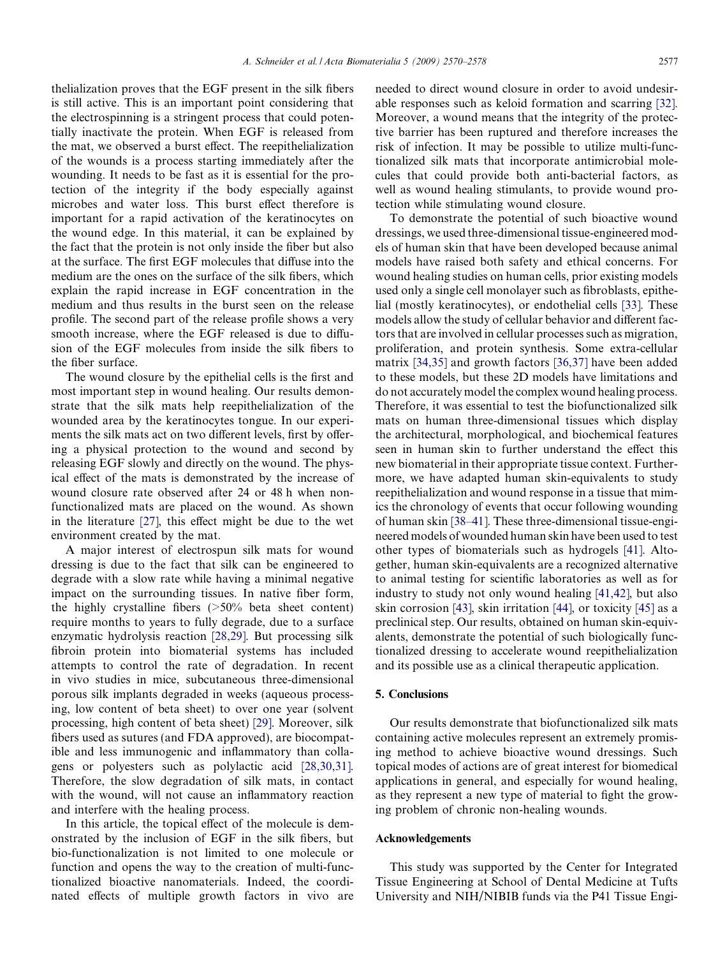thelialization proves that the EGF present in the silk fibers is still active. This is an important point considering that the electrospinning is a stringent process that could potentially inactivate the protein. When EGF is released from the mat, we observed a burst effect. The reepithelialization of the wounds is a process starting immediately after the wounding. It needs to be fast as it is essential for the protection of the integrity if the body especially against microbes and water loss. This burst effect therefore is important for a rapid activation of the keratinocytes on the wound edge. In this material, it can be explained by the fact that the protein is not only inside the fiber but also at the surface. The first EGF molecules that diffuse into the medium are the ones on the surface of the silk fibers, which explain the rapid increase in EGF concentration in the medium and thus results in the burst seen on the release profile. The second part of the release profile shows a very smooth increase, where the EGF released is due to diffusion of the EGF molecules from inside the silk fibers to the fiber surface.

The wound closure by the epithelial cells is the first and most important step in wound healing. Our results demonstrate that the silk mats help reepithelialization of the wounded area by the keratinocytes tongue. In our experiments the silk mats act on two different levels, first by offering a physical protection to the wound and second by releasing EGF slowly and directly on the wound. The physical effect of the mats is demonstrated by the increase of wound closure rate observed after 24 or 48 h when nonfunctionalized mats are placed on the wound. As shown in the literature [\[27\]](#page-8-0), this effect might be due to the wet environment created by the mat.

A major interest of electrospun silk mats for wound dressing is due to the fact that silk can be engineered to degrade with a slow rate while having a minimal negative impact on the surrounding tissues. In native fiber form, the highly crystalline fibers (>50% beta sheet content) require months to years to fully degrade, due to a surface enzymatic hydrolysis reaction [\[28,29\].](#page-8-0) But processing silk fibroin protein into biomaterial systems has included attempts to control the rate of degradation. In recent in vivo studies in mice, subcutaneous three-dimensional porous silk implants degraded in weeks (aqueous processing, low content of beta sheet) to over one year (solvent processing, high content of beta sheet) [\[29\]](#page-8-0). Moreover, silk fibers used as sutures (and FDA approved), are biocompatible and less immunogenic and inflammatory than collagens or polyesters such as polylactic acid [\[28,30,31\].](#page-8-0) Therefore, the slow degradation of silk mats, in contact with the wound, will not cause an inflammatory reaction and interfere with the healing process.

In this article, the topical effect of the molecule is demonstrated by the inclusion of EGF in the silk fibers, but bio-functionalization is not limited to one molecule or function and opens the way to the creation of multi-functionalized bioactive nanomaterials. Indeed, the coordinated effects of multiple growth factors in vivo are needed to direct wound closure in order to avoid undesirable responses such as keloid formation and scarring [\[32\].](#page-8-0) Moreover, a wound means that the integrity of the protective barrier has been ruptured and therefore increases the risk of infection. It may be possible to utilize multi-functionalized silk mats that incorporate antimicrobial molecules that could provide both anti-bacterial factors, as well as wound healing stimulants, to provide wound protection while stimulating wound closure.

To demonstrate the potential of such bioactive wound dressings, we used three-dimensional tissue-engineered models of human skin that have been developed because animal models have raised both safety and ethical concerns. For wound healing studies on human cells, prior existing models used only a single cell monolayer such as fibroblasts, epithelial (mostly keratinocytes), or endothelial cells [\[33\]](#page-8-0). These models allow the study of cellular behavior and different factors that are involved in cellular processes such as migration, proliferation, and protein synthesis. Some extra-cellular matrix [\[34,35\]](#page-8-0) and growth factors [\[36,37\]](#page-8-0) have been added to these models, but these 2D models have limitations and do not accurately model the complex wound healing process. Therefore, it was essential to test the biofunctionalized silk mats on human three-dimensional tissues which display the architectural, morphological, and biochemical features seen in human skin to further understand the effect this new biomaterial in their appropriate tissue context. Furthermore, we have adapted human skin-equivalents to study reepithelialization and wound response in a tissue that mimics the chronology of events that occur following wounding of human skin [\[38–41\].](#page-8-0) These three-dimensional tissue-engineered models of wounded human skin have been used to test other types of biomaterials such as hydrogels [\[41\].](#page-8-0) Altogether, human skin-equivalents are a recognized alternative to animal testing for scientific laboratories as well as for industry to study not only wound healing [\[41,42\]](#page-8-0), but also skin corrosion [\[43\]](#page-8-0), skin irritation [\[44\]](#page-8-0), or toxicity [\[45\]](#page-8-0) as a preclinical step. Our results, obtained on human skin-equivalents, demonstrate the potential of such biologically functionalized dressing to accelerate wound reepithelialization and its possible use as a clinical therapeutic application.

## 5. Conclusions

Our results demonstrate that biofunctionalized silk mats containing active molecules represent an extremely promising method to achieve bioactive wound dressings. Such topical modes of actions are of great interest for biomedical applications in general, and especially for wound healing, as they represent a new type of material to fight the growing problem of chronic non-healing wounds.

#### Acknowledgements

This study was supported by the Center for Integrated Tissue Engineering at School of Dental Medicine at Tufts University and NIH/NIBIB funds via the P41 Tissue Engi